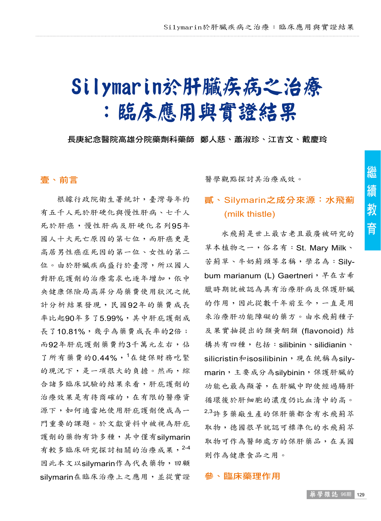# Silymarin於肝臟疾病之治療 :臨床應用與實證結果

長庚紀念醫院高雄分院藥劑科藥師 鄭人慈、蕭淑珍、江吉文、戴慶玲

# 壹、前言

根據行政院衛生署統計,臺灣每年約 有五千人死於肝硬化與慢性肝病、七千人 死於肝癌,慢性肝病及肝硬化名列95年 國人十大死亡原因的第七位,而肝癌更是 高居男性癌症死因的第一位、女性的第二 位。由於肝臟疾病盛行於臺灣,所以國人 對肝庇護劑的治療需求也逐年增加,依中 央健康保險局高屏分局藥費使用狀況之統 計分析結果發現,民國92年的藥費成長 率比起90年多了5.99%,其中肝庇護劑成 長了10.81%,幾乎為藥費成長率的2倍; 而92年肝庇護劑藥費約3千萬元左右,佔 了所有藥費的 $0.44\%$ ,  $1$ 在健保財務吃緊 的現況下,是一項很大的負擔。然而,綜 合諸多臨床試驗的結果來看,肝庇護劑的 治療效果是有待商確的,在有限的醫療資 源下,如何適當地使用肝庇護劑便成為一 門重要的課題。於文獻資料中被視為肝庇 護劑的藥物有許多種,其中僅有silymarin 有較多臨床研究探討相關的治療成果,2-4 因此本文以silymarin作為代表藥物,回顧 silymarin在臨床治療上之應用,並從實證

醫學觀點探討其治療成效。

# 貳、Silymarin之成分來源:水飛薊 (milk thistle)

水飛薊是世上最古老且最廣被研究的 草本植物之一,俗名有: St. Mary Milk、 苦薊草、牛奶薊頭等名稱,學名為: Sily**bum marianum (L) Gaertneri**, 早在古希 臘時期就被認為具有治療肝病及保護肝臟 的作用,因此從數千年前至今,一直是用 來治療肝功能障礙的藥方。由水飛薊種子 及果實抽提出的類黃酮類 (flavonoid) 結 構共有四種,包括:silibinin、silidianin、 silicristin和isosilibinin,現在統稱為silymarin,主要成分為silybinin,保護肝臟的 功能也最為顯著,在肝臟中即使經過腸肝 循環後於肝細胞的濃度仍比血清中的高。 2,3 許多藥廠生產的保肝藥都含有水飛薊萃 取物,德國很早就認可標準化的水飛薊萃 取物可作為醫師處方的保肝藥品,在美國 則作為健康食品之用。

#### 參、臨床藥理作用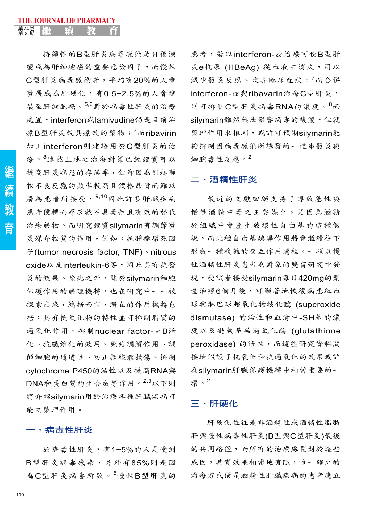持續性的B型肝炎病毒感染是日後演 變成為肝細胞癌的重要危險因子,而慢性 C型肝炎病毒感染者,平均有20%的人會 發展成為肝硬化,有0.5~2.5%的人會進 展至肝細胞癌。5,6 對於病毒性肝炎的治療 處置,interferon或lamivudine仍是目前治 療B型肝炎最具療效的藥物;<sup>7</sup>而ribavirin 加上interferon則建議用於C型肝炎的治 療。<sup>8</sup>雖然上述之治療對策已經證實可以 提高肝炎病患的存活率,但卻因為引起藥 物不良反應的頻率較高且價格昂貴而難以 廣為患者所接受, 9,10因此許多肝臟疾病 患者便轉而尋求較不具毒性且有效的替代 治療藥物。而研究證實silymarin有調節發 炎媒介物質的作用,例如:抗腫瘤壞死因 子(tumor necrosis factor, TNF)、nitrous oxide以及interleukin-6等,因此具有抗發 炎的效果。除此之外,關於silymarin細胞 保護作用的藥理機轉,也在研究中一一被 探索出來,總括而言,潛在的作用機轉包 括:具有抗氧化物的特性並可抑制脂質的 過氧化作用、抑制nuclear factor-κB活 化、抗纖維化的效用、免疫調解作用、調 節細胞的通透性、防止粒線體損傷、抑制 cytochrome P450的活性以及提高RNA與 DNA和蛋白質的生合成等作用。2,3 以下則 將介紹silymarin用於治療各種肝臟疾病可 能之藥理作用。

# 一、病毒性肝炎

於病毒性肝炎,有1~5%的人是受到 B型肝炎病毒感染,另外有85%則是因 為C型肝炎病毒所致。<sup>5</sup>慢性B型肝炎的

患者,若以interferon-α治療可使B型肝 炎e抗原 (HBeAg) 從血液中消失,用以 減少發炎反應、改善臨床症狀;<sup>7</sup> 而合併 interferon- $\alpha$  與ribavarin治療C型肝炎, 則可抑制C型肝炎病毒RNA的濃度。<sup>8</sup> 而 silymarin雖然無法影響病毒的複製,但就 **藥理作用來推測,或許可預期silymarin能** 夠抑制因病毒感染所誘發的一連串發炎與 細胞毒性反應。2

# 二、酒精性肝炎

最近的文獻回顧支持了導致急性與 慢性酒精中毒之主要媒介,是因為酒精 於組織中會產生破壞性自由基的這種假 說,而此種自由基誘導作用將會繼續往下 形成一種複雜的交互作用過程。一項以慢 性酒精性肝炎患者為對象的雙盲研究中發 現,受試者接受silymarin每日420mg的劑 量治療6個月後,可顯著地恢復病患紅血 球與淋巴球超氧化物歧化酶 (superoxide dismutase) 的活性和血清中-SH基的濃 度以及麩氨基硫過氧化酶 (glutathione peroxidase) 的活性,而這些研究資料間 接地假設了抗氧化和抗過氧化的效果或許 為silymarin肝臟保護機轉中相當重要的一 環。<sup>2</sup>

# 三、肝硬化

肝硬化往往是非酒精性或酒精性脂肪 肝與慢性病毒性肝炎(B型與C型肝炎)最後 的共同路徑,而所有的治療處置對於這些 成因,其實效果相當地有限,唯一確立的 治療方式便是酒精性肝臟疾病的患者應立

繼 緯 教 育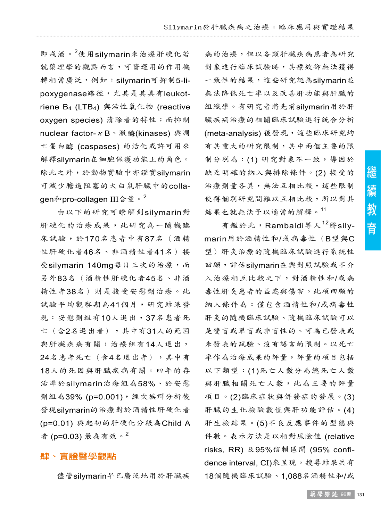即戒酒。<sup>2</sup> 使用silymarin來治療肝硬化若 就藥理學的觀點而言,可資運用的作用機 轉相當廣泛,例如: silymarin可抑制5-lipoxygenase路徑,尤其是其具有leukotriene B4 (LTB4) 與活性氧化物 (reactive oxygen species) 清除者的特性;而抑制 nuclear factor- κB、激酶(kinases) 與凋 亡蛋白酶 (caspases) 的活化或許可用來 解釋silymarin在細胞保護功能上的角色。 除此之外,於動物實驗中亦證實silymarin 可減少膽道阻塞的大白鼠肝臟中的collaqen和pro-collagen III含量。<sup>2</sup>

由以下的研究可瞭解到silymarin對 肝硬化的治療成果,此研究為一隨機臨 床試驗,於170名患者中有87名(酒精 性肝硬化者46名、非酒精性者41名)接 受silymarin 140mg每日三次的治療,而 另外83名(酒精性肝硬化者45名、非酒 精性者38名)則是接受安慰劑治療。此 試驗平均觀察期為41個月,研究結果發 現:安慰劑組有10人退出,37名患者死 亡(含2名退出者),其中有31人的死因 與肝臟疾病有關;治療組有14人退出, 24名患者死亡(含4名退出者),其中有 18人的死因與肝臟疾病有關。四年的存 活率於silymarin治療組為58%、於安慰 劑組為39% (p=0.001),經次族群分析後 發現silymarin的治療對於酒精性肝硬化者 (p=0.01) 與起初的肝硬化分級為Child A 者 (p=0.03) 最為有效。<sup>2</sup>

#### 肆、實證醫學觀點

儘管silymarin早已廣泛地用於肝臟疾

病的治療,但以各類肝臟疾病患者為研究 對象進行臨床試驗時,其療效卻無法獲得 一致性的結果,這些研究認為silymarin並 無法降低死亡率以及改善肝功能與肝臟的 組織學。有研究者將先前silymarin用於肝 臟疾病治療的相關臨床試驗進行統合分析 (meta-analysis) 後發現,這些臨床研究均 有其重大的研究限制,其中兩個主要的限 制分別為:(1)研究對象不一致,導因於 缺乏明確的納入與排除條件。(2) 接受的 治療劑量各異,無法互相比較,這些限制 使得個別研究間難以互相比較,所以對其 結果也就無法予以適當的解釋。<sup>11</sup>

有鑑於此,Rambaldi等人<sup>12</sup>將silymarin用於酒精性和/或病毒性(B型與C 型)肝炎治療的隨機臨床試驗進行系統性 回顧,評估silymarin在與對照試驗或不介 入治療相互比較之下,對酒精性和/或病 毒性肝炎患者的益處與傷害。此項回顧的 納入條件為:僅包含酒精性和/或病毒性 肝炎的隨機臨床試驗、隨機臨床試驗可以 是雙盲或單盲或非盲性的、可為已發表或 未發表的試驗、沒有語言的限制。以死亡 率作為治療成果的評量,評量的項目包括 以下類型:(1)死亡人數分為總死亡人數 與肝臟相關死亡人數,此為主要的評量 項目。(2)臨床症狀與併發症的發展。(3) 肝臟的生化檢驗數值與肝功能評估。(4) 肝生檢結果。(5)不良反應事件的型態與 件數。表示方法是以相對風險值 (relative risks, RR) 及95%信賴區間 (95% confidence interval, CI)來呈現。搜尋結果共有 18個隨機臨床試驗、1,088名酒精性和/或

繼

續

教

育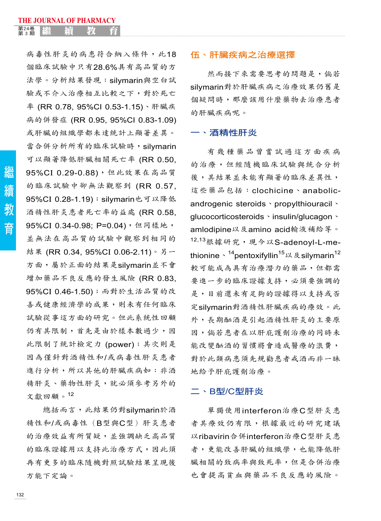病毒性肝炎的病患符合納入條件,此18 個臨床試驗中只有28.6%具有高品質的方 法學。分析結果發現:silymarin與空白試 驗或不介入治療相互比較之下,對於死亡 率 (RR 0.78, 95%CI 0.53-1.15)、肝臟疾 病的併發症 (RR 0.95, 95%CI 0.83-1.09) 或肝臟的組織學都未達統計上顯著差異。 當合併分析所有的臨床試驗時, silymarin 可以顯著降低肝臟相關死亡率 (RR 0.50, 95%CI 0.29-0.88),但此效果在高品質 的臨床試驗中卻無法觀察到 (RR 0.57, 95%CI 0.28-1.19); silymarin也可以降低 酒精性肝炎患者死亡率的益處 (RR 0.58, 95%CI 0.34-0.98; P=0.04), 但同樣地, 並無法在高品質的試驗中觀察到相同的 結果 (RR 0.34, 95%CI 0.06-2.11)。另一 方面,屬於正面的結果是silymarin並不會 增加藥品不良反應的發生風險 (RR 0.83, 95%CI 0.46-1.50);而對於生活品質的改 善或健康經濟學的成果,則未有任何臨床 試驗從事這方面的研究。但此系統性回顧 仍有其限制,首先是由於樣本數過少,因 此限制了統計檢定力 (power);其次則是 因為僅針對酒精性和/或病毒性肝炎患者 進行分析,所以其他的肝臟疾病如:非酒 精肝炎、藥物性肝炎,就必須參考另外的 文獻回顧。<sup>12</sup>

總括而言,此結果仍對silymarin於酒 精性和/或病毒性(B型與C型)肝炎患者 的治療效益有所質疑,並強調缺乏高品質 的臨床證據用以支持此治療方式,因此須 再有更多的臨床隨機對照試驗結果呈現後 方能下定論。

# 伍、肝臟疾病之治療選擇

然而接下來需要思考的問題是, 倘若 silymarin對於肝臟疾病之治療效果仍舊是 個疑問時,那麼該用什麼藥物去治療患者 的肝臟疾病呢。

#### 一、酒精性肝炎

有幾種藥品曾嘗試過這方面疾病 的治療,但經隨機臨床試驗與統合分析 後,其結果並未能有顯著的臨床差異性, 這些藥品包括:clochicine、anabolicandrogenic steroids、propylthiouracil、 glucocorticosteroids、insulin/glucagon、 amlodipine以及amino acid輸液補給等。 <sup>12,13</sup>根據研究,現今以S-adenoyl-L-methionine丶<sup>14</sup>pentoxifyllin<sup>15</sup>以及silymarin<sup>12</sup> 較可能成為具有治療潛力的藥品,但都需 要進一步的臨床證據支持,必須要強調的 是,目前還未有足夠的證據得以支持或否 定silymarin對酒精性肝臟疾病的療效。此 外,長期酗酒是引起酒精性肝炎的主要原 因,倘若患者在以肝庇護劑治療的同時未 能改變酗酒的習慣將會造成醫療的浪費, 對於此類病患須先規勸患者戒酒而非一昧 地給予肝庇護劑治療。

#### 二、B型/C型肝炎

單獨使用interferon治療C型肝炎患 者其療效仍有限,根據最近的研究建議 以ribavirin合併interferon治療C型肝炎患 者,更能改善肝臟的組織學,也能降低肝 臟相關的致病率與致死率,但是合併治療 也會提高貧血與藥品不良反應的風險。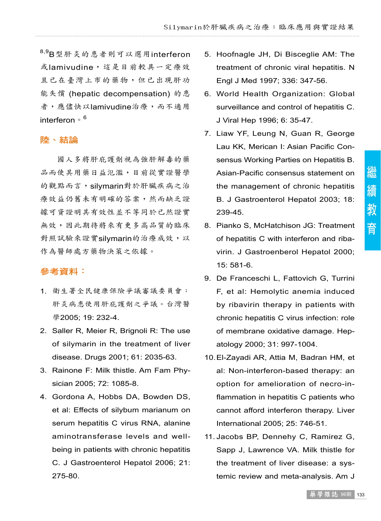8,9 B型肝炎的患者則可以選用interferon 或lamivudine,這是目前較具一定療效 且已在臺灣上市的藥物,但已出現肝功 能失償 (hepatic decompensation) 的患 者,應儘快以lamivudine治療,而不適用 interferon ∘<sup>6</sup>

#### 陸、結論

國人多將肝庇護劑視為強肝解毒的藥 品而使其用藥日益氾濫,目前從實證醫學 的觀點而言,silymarin對於肝臟疾病之治 療效益仍舊未有明確的答案,然而缺乏證 據可資證明其有效性並不等同於已然證實 無效,因此期待將來有更多高品質的臨床 對照試驗來證實silymarin的治療成效,以 作為醫師處方藥物決策之依據。

# 參考資料:

- 1. 衛生署全民健康保險爭議審議委員會: 肝炎病患使用肝庇護劑之爭議。台灣醫 學2005; 19: 232-4.
- 2. Saller R, Meier R, Brignoli R: The use of silymarin in the treatment of liver disease. Drugs 2001; 61: 2035-63.
- 3. Rainone F: Milk thistle. Am Fam Physician 2005; 72: 1085-8.
- 4. Gordona A, Hobbs DA, Bowden DS, et al: Effects of silybum marianum on serum hepatitis C virus RNA, alanine aminotransferase levels and wellbeing in patients with chronic hepatitis C. J Gastroenterol Hepatol 2006; 21: 275-80.
- 5. Hoofnagle JH, Di Bisceglie AM: The treatment of chronic viral hepatitis. N Engl J Med 1997; 336: 347-56.
- 6. World Health Organization: Global surveillance and control of hepatitis C. J Viral Hep 1996; 6: 35-47.
- 7. Liaw YF, Leung N, Guan R, George Lau KK, Merican I: Asian Pacific Consensus Working Parties on Hepatitis B. Asian-Pacific consensus statement on the management of chronic hepatitis B. J Gastroenterol Hepatol 2003; 18: 239-45.
- 8. Pianko S, McHatchison JG: Treatment of hepatitis C with interferon and ribavirin. J Gastroenberol Hepatol 2000; 15: 581-6.
- 9. De Franceschi L, Fattovich G, Turrini F, et al: Hemolytic anemia induced by ribavirin therapy in patients with chronic hepatitis C virus infection: role of membrane oxidative damage. Hepatology 2000; 31: 997-1004.
- 10.El-Zayadi AR, Attia M, Badran HM, et al: Non-interferon-based therapy: an option for amelioration of necro-inflammation in hepatitis C patients who cannot afford interferon therapy. Liver International 2005; 25: 746-51.
- 11. Jacobs BP, Dennehy C, Ramirez G, Sapp J, Lawrence VA. Milk thistle for the treatment of liver disease: a systemic review and meta-analysis. Am J